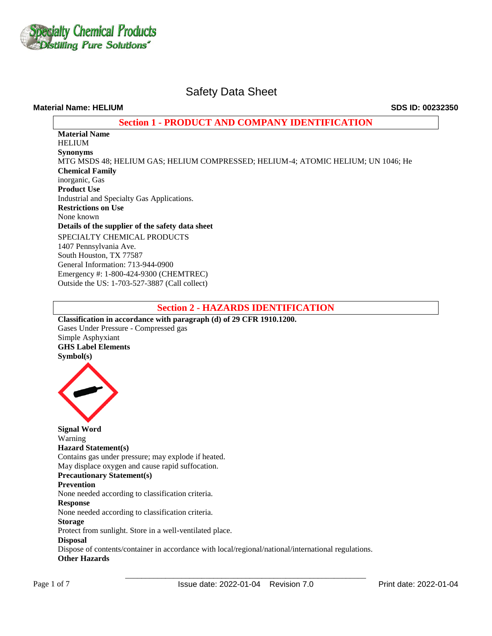

### **Material Name: HELIUM SDS ID: 00232350**

# **Section 1 - PRODUCT AND COMPANY IDENTIFICATION**

**Material Name**  HELIUM **Synonyms** MTG MSDS 48; HELIUM GAS; HELIUM COMPRESSED; HELIUM-4; ATOMIC HELIUM; UN 1046; He **Chemical Family** inorganic, Gas **Product Use** Industrial and Specialty Gas Applications. **Restrictions on Use** None known **Details of the supplier of the safety data sheet** SPECIALTY CHEMICAL PRODUCTS 1407 Pennsylvania Ave. South Houston, TX 77587 General Information: 713-944-0900 Emergency #: 1-800-424-9300 (CHEMTREC) Outside the US: 1-703-527-3887 (Call collect)

# **Section 2 - HAZARDS IDENTIFICATION**

**Classification in accordance with paragraph (d) of 29 CFR 1910.1200.**  Gases Under Pressure - Compressed gas Simple Asphyxiant **GHS Label Elements Symbol(s)** 



**Signal Word**  Warning **Hazard Statement(s)**  Contains gas under pressure; may explode if heated. May displace oxygen and cause rapid suffocation. **Precautionary Statement(s) Prevention**  None needed according to classification criteria. **Response**  None needed according to classification criteria. **Storage**  Protect from sunlight. Store in a well-ventilated place. **Disposal**  Dispose of contents/container in accordance with local/regional/national/international regulations. **Other Hazards**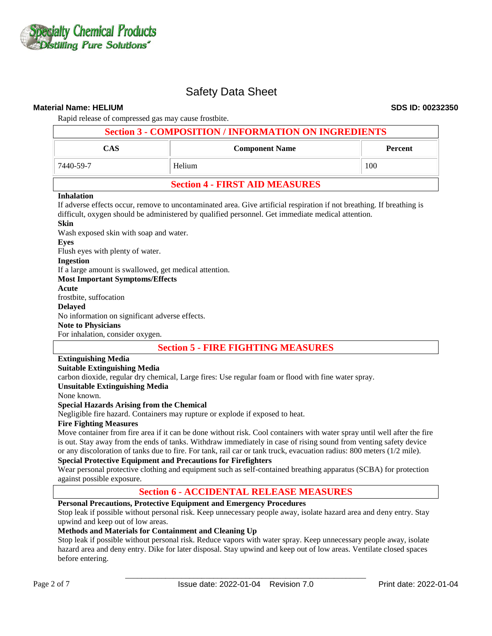

#### **Material Name: HELIUM SDS ID: 00232350**

Rapid release of compressed gas may cause frostbite.

| <b>Section 3 - COMPOSITION / INFORMATION ON INGREDIENTS</b> |                                       |     |  |  |  |  |
|-------------------------------------------------------------|---------------------------------------|-----|--|--|--|--|
| <b>CAS</b><br><b>Component Name</b><br><b>Percent</b>       |                                       |     |  |  |  |  |
| 7440-59-7                                                   | Helium                                | 100 |  |  |  |  |
|                                                             | <b>Section 4 - FIRST AID MEASURES</b> |     |  |  |  |  |

#### **Inhalation**

If adverse effects occur, remove to uncontaminated area. Give artificial respiration if not breathing. If breathing is difficult, oxygen should be administered by qualified personnel. Get immediate medical attention.

### **Skin**

Wash exposed skin with soap and water. **Eyes** Flush eyes with plenty of water. **Ingestion** If a large amount is swallowed, get medical attention. **Most Important Symptoms/Effects Acute**  frostbite, suffocation **Delayed**  No information on significant adverse effects. **Note to Physicians**  For inhalation, consider oxygen.

# **Section 5 - FIRE FIGHTING MEASURES**

# **Extinguishing Media**

### **Suitable Extinguishing Media**

carbon dioxide, regular dry chemical, Large fires: Use regular foam or flood with fine water spray.

#### **Unsuitable Extinguishing Media**

None known.

#### **Special Hazards Arising from the Chemical**

Negligible fire hazard. Containers may rupture or explode if exposed to heat.

#### **Fire Fighting Measures**

Move container from fire area if it can be done without risk. Cool containers with water spray until well after the fire is out. Stay away from the ends of tanks. Withdraw immediately in case of rising sound from venting safety device or any discoloration of tanks due to fire. For tank, rail car or tank truck, evacuation radius: 800 meters (1/2 mile).

#### **Special Protective Equipment and Precautions for Firefighters**

Wear personal protective clothing and equipment such as self-contained breathing apparatus (SCBA) for protection against possible exposure.

# **Section 6 - ACCIDENTAL RELEASE MEASURES**

### **Personal Precautions, Protective Equipment and Emergency Procedures**

Stop leak if possible without personal risk. Keep unnecessary people away, isolate hazard area and deny entry. Stay upwind and keep out of low areas.

### **Methods and Materials for Containment and Cleaning Up**

Stop leak if possible without personal risk. Reduce vapors with water spray. Keep unnecessary people away, isolate hazard area and deny entry. Dike for later disposal. Stay upwind and keep out of low areas. Ventilate closed spaces before entering.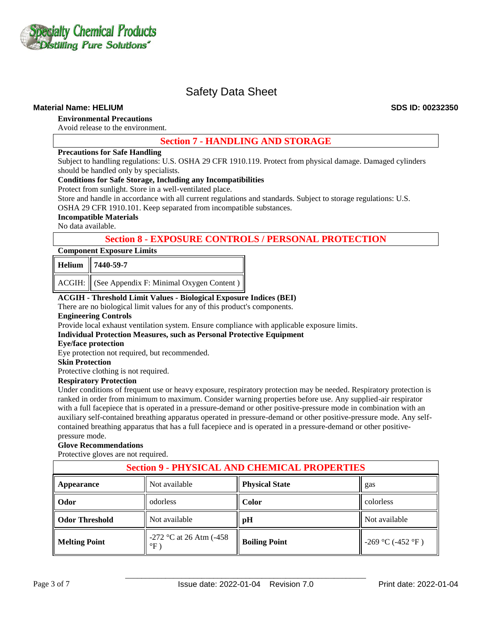

### **Material Name: HELIUM SDS ID: 00232350**

# **Environmental Precautions**

Avoid release to the environment.

# **Section 7 - HANDLING AND STORAGE**

#### **Precautions for Safe Handling**

Subject to handling regulations: U.S. OSHA 29 CFR 1910.119. Protect from physical damage. Damaged cylinders should be handled only by specialists.

#### **Conditions for Safe Storage, Including any Incompatibilities**

Protect from sunlight. Store in a well-ventilated place.

Store and handle in accordance with all current regulations and standards. Subject to storage regulations: U.S.

OSHA 29 CFR 1910.101. Keep separated from incompatible substances.

### **Incompatible Materials**

No data available.

# **Section 8 - EXPOSURE CONTROLS / PERSONAL PROTECTION**

#### **Component Exposure Limits**

| Helium 7440-59-7 |  |  |  |  |  |  |
|------------------|--|--|--|--|--|--|
|                  |  |  |  |  |  |  |

ACGIH: (See Appendix F: Minimal Oxygen Content)

# **ACGIH - Threshold Limit Values - Biological Exposure Indices (BEI)**

There are no biological limit values for any of this product's components.

#### **Engineering Controls**

Provide local exhaust ventilation system. Ensure compliance with applicable exposure limits.

**Individual Protection Measures, such as Personal Protective Equipment** 

#### **Eye/face protection**

Eye protection not required, but recommended.

#### **Skin Protection**

Protective clothing is not required.

#### **Respiratory Protection**

Under conditions of frequent use or heavy exposure, respiratory protection may be needed. Respiratory protection is ranked in order from minimum to maximum. Consider warning properties before use. Any supplied-air respirator with a full facepiece that is operated in a pressure-demand or other positive-pressure mode in combination with an auxiliary self-contained breathing apparatus operated in pressure-demand or other positive-pressure mode. Any selfcontained breathing apparatus that has a full facepiece and is operated in a pressure-demand or other positivepressure mode.

#### **Glove Recommendations**

Protective gloves are not required.

| <b>Section 9 - PHYSICAL AND CHEMICAL PROPERTIES</b> |                                            |                      |                   |  |  |  |  |
|-----------------------------------------------------|--------------------------------------------|----------------------|-------------------|--|--|--|--|
| Appearance                                          | <b>Physical State</b><br>Not available     |                      |                   |  |  |  |  |
| Odor                                                | odorless                                   | <b>Color</b>         | colorless         |  |  |  |  |
| <b>Odor Threshold</b>                               | Not available                              | pH                   | Not available     |  |  |  |  |
| <b>Melting Point</b>                                | $-272$ °C at 26 Atm (-458)<br>$\mathrm{P}$ | <b>Boiling Point</b> | -269 °C (-452 °F) |  |  |  |  |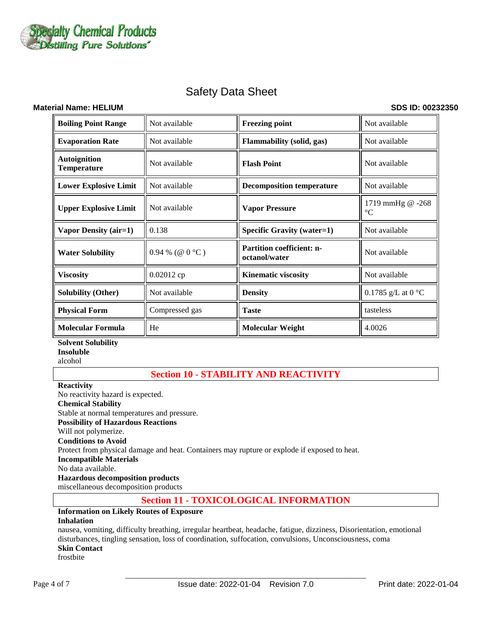

### **Material Name: HELIUM SDS ID: 00232350**

| <b>Boiling Point Range</b>                | Not available     | <b>Freezing point</b>                      | Not available                       |  |
|-------------------------------------------|-------------------|--------------------------------------------|-------------------------------------|--|
| <b>Evaporation Rate</b>                   | Not available     | <b>Flammability (solid, gas)</b>           | Not available                       |  |
| <b>Autoignition</b><br><b>Temperature</b> | Not available     | <b>Flash Point</b>                         | Not available                       |  |
| <b>Lower Explosive Limit</b>              | Not available     | <b>Decomposition temperature</b>           | Not available                       |  |
| <b>Upper Explosive Limit</b>              | Not available     | <b>Vapor Pressure</b>                      | 1719 mmHg @ -268<br>$\rm ^{\circ}C$ |  |
| Vapor Density (air=1)                     | 0.138             | <b>Specific Gravity (water=1)</b>          | Not available                       |  |
| <b>Water Solubility</b>                   | $0.94\%$ (@ 0 °C) | Partition coefficient: n-<br>octanol/water | Not available                       |  |
| <b>Viscosity</b>                          | 0.02012 ср        | <b>Kinematic viscosity</b>                 | Not available                       |  |
| <b>Solubility (Other)</b>                 | Not available     | <b>Density</b>                             | 0.1785 g/L at $0 °C$                |  |
| <b>Physical Form</b>                      | Compressed gas    | <b>Taste</b>                               | tasteless                           |  |
| <b>Molecular Formula</b>                  | He                | <b>Molecular Weight</b>                    | 4.0026                              |  |

**Solvent Solubility Insoluble** alcohol

# **Section 10 - STABILITY AND REACTIVITY**

**Reactivity**  No reactivity hazard is expected. **Chemical Stability** Stable at normal temperatures and pressure. **Possibility of Hazardous Reactions** Will not polymerize. **Conditions to Avoid** Protect from physical damage and heat. Containers may rupture or explode if exposed to heat. **Incompatible Materials** No data available. **Hazardous decomposition products**  miscellaneous decomposition products

# **Section 11 - TOXICOLOGICAL INFORMATION**

#### **Information on Likely Routes of Exposure Inhalation**

nausea, vomiting, difficulty breathing, irregular heartbeat, headache, fatigue, dizziness, Disorientation, emotional disturbances, tingling sensation, loss of coordination, suffocation, convulsions, Unconsciousness, coma **Skin Contact** 

frostbite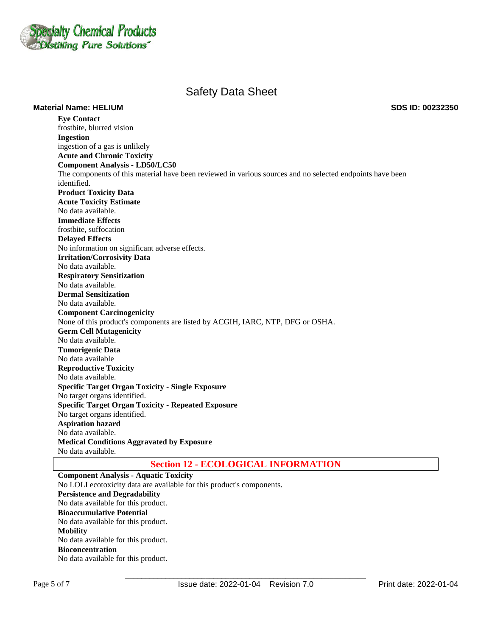

**Material Name: HELIUM SDS ID: 00232350**

**Eye Contact**  frostbite, blurred vision **Ingestion**  ingestion of a gas is unlikely **Acute and Chronic Toxicity Component Analysis - LD50/LC50**  The components of this material have been reviewed in various sources and no selected endpoints have been identified. **Product Toxicity Data Acute Toxicity Estimate**  No data available. **Immediate Effects**  frostbite, suffocation **Delayed Effects**  No information on significant adverse effects. **Irritation/Corrosivity Data**  No data available. **Respiratory Sensitization**  No data available. **Dermal Sensitization**  No data available. **Component Carcinogenicity**  None of this product's components are listed by ACGIH, IARC, NTP, DFG or OSHA. **Germ Cell Mutagenicity**  No data available. **Tumorigenic Data**  No data available **Reproductive Toxicity**  No data available. **Specific Target Organ Toxicity - Single Exposure**  No target organs identified. **Specific Target Organ Toxicity - Repeated Exposure**  No target organs identified. **Aspiration hazard**  No data available. **Medical Conditions Aggravated by Exposure** No data available.

# **Section 12 - ECOLOGICAL INFORMATION**

**Component Analysis - Aquatic Toxicity** No LOLI ecotoxicity data are available for this product's components. **Persistence and Degradability**  No data available for this product. **Bioaccumulative Potential**  No data available for this product. **Mobility**  No data available for this product. **Bioconcentration**  No data available for this product.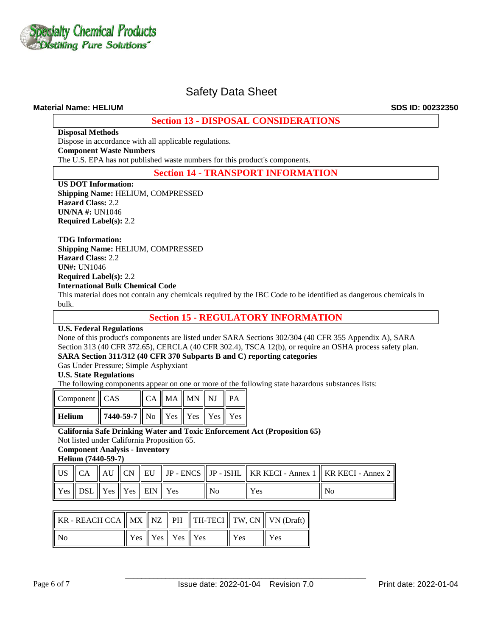

### **Material Name: HELIUM SDS ID: 00232350**

# **Section 13 - DISPOSAL CONSIDERATIONS**

**Disposal Methods**

Dispose in accordance with all applicable regulations.

**Component Waste Numbers** 

The U.S. EPA has not published waste numbers for this product's components.

# **Section 14 - TRANSPORT INFORMATION**

**US DOT Information: Shipping Name:** HELIUM, COMPRESSED **Hazard Class:** 2.2 **UN/NA #:** UN1046 **Required Label(s):** 2.2

#### **TDG Information:**

**Shipping Name:** HELIUM, COMPRESSED **Hazard Class:** 2.2 **UN#:** UN1046 **Required Label(s):** 2.2 **International Bulk Chemical Code** 

This material does not contain any chemicals required by the IBC Code to be identified as dangerous chemicals in bulk.

**Section 15 - REGULATORY INFORMATION**

### **U.S. Federal Regulations**

None of this product's components are listed under SARA Sections 302/304 (40 CFR 355 Appendix A), SARA Section 313 (40 CFR 372.65), CERCLA (40 CFR 302.4), TSCA 12(b), or require an OSHA process safety plan. **SARA Section 311/312 (40 CFR 370 Subparts B and C) reporting categories** 

Gas Under Pressure; Simple Asphyxiant

### **U.S. State Regulations**

The following components appear on one or more of the following state hazardous substances lists:

| Component   CAS |                                                                                                                  |  | $\ $ CA $\ $ MA $\ $ MN $\ $ NJ $\ $ PA |  |
|-----------------|------------------------------------------------------------------------------------------------------------------|--|-----------------------------------------|--|
| Helium          | $\parallel$ 7440-59-7 $\parallel$ No $\parallel$ Yes $\parallel$ Yes $\parallel$ Yes $\parallel$ Yes $\parallel$ |  |                                         |  |

### **California Safe Drinking Water and Toxic Enforcement Act (Proposition 65)**

Not listed under California Proposition 65.

**Component Analysis - Inventory** 

**Helium (7440-59-7)**

|                                        |  |  |                |            | US $\parallel$ CA $\parallel$ AU $\parallel$ CN $\parallel$ EU $\parallel$ JP - ENCS $\parallel$ JP - ISHL $\parallel$ KR KECI - Annex 1 $\parallel$ KR KECI - Annex 2 $\parallel$ |
|----------------------------------------|--|--|----------------|------------|------------------------------------------------------------------------------------------------------------------------------------------------------------------------------------|
| Yes    DSL    Yes    Yes    EIN    Yes |  |  | N <sub>0</sub> | <b>Yes</b> | No                                                                                                                                                                                 |

| KR - REACH CCA $\parallel$ MX $\parallel$ NZ $\parallel$ PH $\parallel$ TH-TECI $\parallel$ TW, CN $\parallel$ VN (Draft) $\parallel$ |                                                                 |  |            |     |
|---------------------------------------------------------------------------------------------------------------------------------------|-----------------------------------------------------------------|--|------------|-----|
| No                                                                                                                                    | $\parallel$ Yes $\parallel$ Yes $\parallel$ Yes $\parallel$ Yes |  | <b>Yes</b> | Yes |